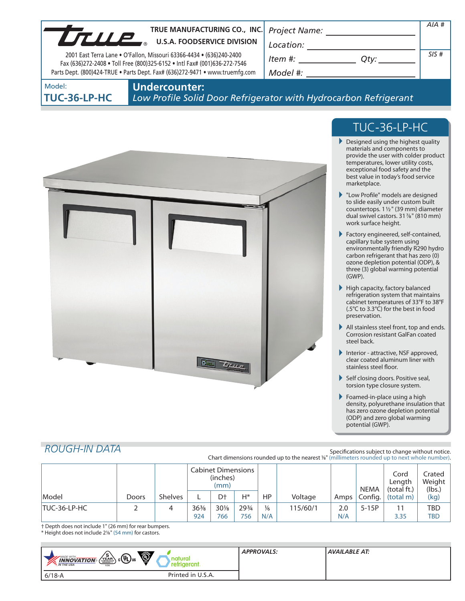| LTLLE                         | TRUE MANUFACTURING CO., INC.<br><b>U.S.A. FOODSERVICE DIVISION</b><br>2001 East Terra Lane . O'Fallon, Missouri 63366-4434 . (636)240-2400<br>Fax (636)272-2408 . Toll Free (800)325-6152 . Intl Fax# (001)636-272-7546<br>Parts Dept. (800)424-TRUE . Parts Dept. Fax# (636)272-9471 . www.truemfg.com | Project Name:<br>Location:<br>Item #:<br>Qty:<br>Model #: | $AIA$ #<br>SIS# |  |  |  |
|-------------------------------|---------------------------------------------------------------------------------------------------------------------------------------------------------------------------------------------------------------------------------------------------------------------------------------------------------|-----------------------------------------------------------|-----------------|--|--|--|
| Model:<br><b>TUC-36-LP-HC</b> | <b>Undercounter:</b><br>Low Profile Solid Door Refrigerator with Hydrocarbon Refrigerant                                                                                                                                                                                                                |                                                           |                 |  |  |  |
|                               |                                                                                                                                                                                                                                                                                                         | THA 36 IN HA                                              |                 |  |  |  |



# TUC-36-LP-HC

- Designed using the highest quality materials and components to provide the user with colder product temperatures, lower utility costs, exceptional food safety and the best value in today's food service marketplace.
- "Low Profile" models are designed to slide easily under custom built countertops. 11/2" (39 mm) diameter dual swivel castors. 317/8" (810 mm) work surface height.
- Factory engineered, self-contained, capillary tube system using environmentally friendly R290 hydro carbon refrigerant that has zero (0) ozone depletion potential (ODP), & three (3) global warming potential (GWP).
- $\blacktriangleright$  High capacity, factory balanced refrigeration system that maintains cabinet temperatures of 33°F to 38°F (.5°C to 3.3°C) for the best in food preservation.
- All stainless steel front, top and ends. Corrosion resistant GalFan coated steel back.
- Interior attractive, NSF approved, clear coated aluminum liner with stainless steel floor.
- Self closing doors. Positive seal, torsion type closure system.
- Foamed-in-place using a high density, polyurethane insulation that has zero ozone depletion potential (ODP) and zero global warming potential (GWP).

## *ROUGH-IN DATA*

Specifications subject to change without notice. Chart dimensions rounded up to the nearest %" (millimeters rounded up to next whole number).

|              |       |                | <b>Cabinet Dimensions</b><br>(inches)<br>(mm) |               |              |                      | <b>NEMA</b> | Cord<br>Lenath<br>(total ft.) | Crated<br>Weight<br>(lbs.) |            |                   |
|--------------|-------|----------------|-----------------------------------------------|---------------|--------------|----------------------|-------------|-------------------------------|----------------------------|------------|-------------------|
| Model        | Doors | <b>Shelves</b> |                                               | D+            | Н*           | HP                   | Voltage     | Amps                          | Config.                    | (total m)  | (kg)              |
| TUC-36-LP-HC |       |                | $36\%$<br>924                                 | $30\%$<br>766 | 293/4<br>756 | $\frac{1}{6}$<br>N/A | 115/60/1    | 2.0<br>N/A                    | $5-15P$                    | 11<br>3.35 | TBD<br><b>TBD</b> |

† Depth does not include 1" (26 mm) for rear bumpers.

| * Height does not include 2%" (54 mm) for castors. |  |  |
|----------------------------------------------------|--|--|
|                                                    |  |  |

| Ö<br>$\left\langle \frac{5}{25.0}R_0 \right\rangle$ c $\left\langle \frac{1}{2} \right\rangle$ us<br>MADE WITH.<br>natura<br><b>INNOVATION</b><br><b>*</b> IN THE USA<br><b>USA</b> | <b>APPROVALS:</b><br>reram. | AVAILABLE AT: |
|-------------------------------------------------------------------------------------------------------------------------------------------------------------------------------------|-----------------------------|---------------|
| 6/18-A                                                                                                                                                                              | Printed in U.S.A.           |               |